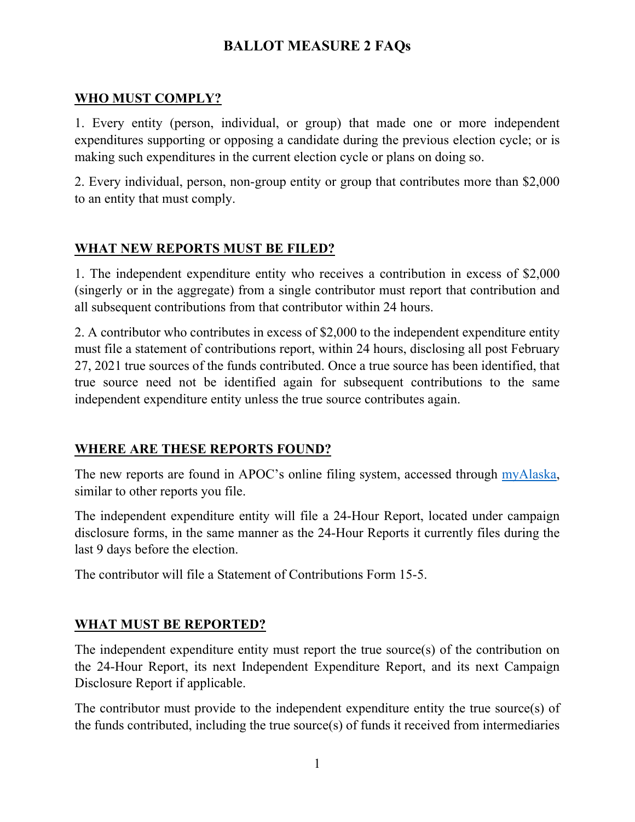# **BALLOT MEASURE 2 FAQs**

#### **WHO MUST COMPLY?**

1. Every entity (person, individual, or group) that made one or more independent expenditures supporting or opposing a candidate during the previous election cycle; or is making such expenditures in the current election cycle or plans on doing so.

2. Every individual, person, non-group entity or group that contributes more than \$2,000 to an entity that must comply.

### **WHAT NEW REPORTS MUST BE FILED?**

1. The independent expenditure entity who receives a contribution in excess of \$2,000 (singerly or in the aggregate) from a single contributor must report that contribution and all subsequent contributions from that contributor within 24 hours.

2. A contributor who contributes in excess of \$2,000 to the independent expenditure entity must file a statement of contributions report, within 24 hours, disclosing all post February 27, 2021 true sources of the funds contributed. Once a true source has been identified, that true source need not be identified again for subsequent contributions to the same independent expenditure entity unless the true source contributes again.

### **WHERE ARE THESE REPORTS FOUND?**

The new reports are found in APOC's online filing system, accessed through [myAlaska,](https://my.alaska.gov/adfs/ls/?wa=wsignin1.0&wtrealm=https%3a%2f%2fmyalaska.state.ak.us%2fapoc%2fform%2f&wctx=rm%3d0%26id%3dpassive%26ru%3d%252fapoc%252fform%252f&wct=2021-02-23T17%3a50%3a10Z&wreply=https%3a%2f%2fmyalaska.state.ak.us%2fapoc%2fform%2f&pubid=pofd) similar to other reports you file.

The independent expenditure entity will file a 24-Hour Report, located under campaign disclosure forms, in the same manner as the 24-Hour Reports it currently files during the last 9 days before the election.

The contributor will file a Statement of Contributions Form 15-5.

### **WHAT MUST BE REPORTED?**

The independent expenditure entity must report the true source(s) of the contribution on the 24-Hour Report, its next Independent Expenditure Report, and its next Campaign Disclosure Report if applicable.

The contributor must provide to the independent expenditure entity the true source(s) of the funds contributed, including the true source(s) of funds it received from intermediaries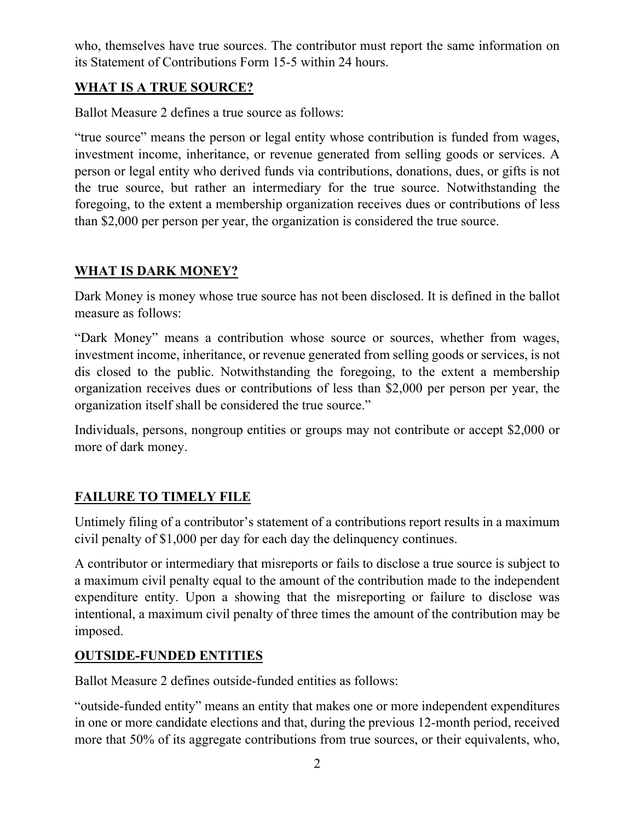who, themselves have true sources. The contributor must report the same information on its Statement of Contributions Form 15-5 within 24 hours.

# **WHAT IS A TRUE SOURCE?**

Ballot Measure 2 defines a true source as follows:

"true source" means the person or legal entity whose contribution is funded from wages, investment income, inheritance, or revenue generated from selling goods or services. A person or legal entity who derived funds via contributions, donations, dues, or gifts is not the true source, but rather an intermediary for the true source. Notwithstanding the foregoing, to the extent a membership organization receives dues or contributions of less than \$2,000 per person per year, the organization is considered the true source.

# **WHAT IS DARK MONEY?**

Dark Money is money whose true source has not been disclosed. It is defined in the ballot measure as follows:

"Dark Money" means a contribution whose source or sources, whether from wages, investment income, inheritance, or revenue generated from selling goods or services, is not dis closed to the public. Notwithstanding the foregoing, to the extent a membership organization receives dues or contributions of less than \$2,000 per person per year, the organization itself shall be considered the true source."

Individuals, persons, nongroup entities or groups may not contribute or accept \$2,000 or more of dark money.

# **FAILURE TO TIMELY FILE**

Untimely filing of a contributor's statement of a contributions report results in a maximum civil penalty of \$1,000 per day for each day the delinquency continues.

A contributor or intermediary that misreports or fails to disclose a true source is subject to a maximum civil penalty equal to the amount of the contribution made to the independent expenditure entity. Upon a showing that the misreporting or failure to disclose was intentional, a maximum civil penalty of three times the amount of the contribution may be imposed.

# **OUTSIDE-FUNDED ENTITIES**

Ballot Measure 2 defines outside-funded entities as follows:

"outside-funded entity" means an entity that makes one or more independent expenditures in one or more candidate elections and that, during the previous 12-month period, received more that 50% of its aggregate contributions from true sources, or their equivalents, who,